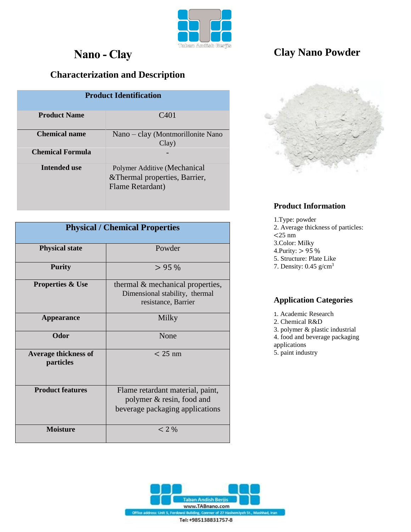

# **Nano - Clay**

## **Characterization and Description**

| <b>Product Identification</b>            |                                                                                    |
|------------------------------------------|------------------------------------------------------------------------------------|
| <b>Product Name</b>                      | C <sub>401</sub>                                                                   |
| <b>Chemical name</b><br>Chemical Formula | Nano – clay (Montmorillonite Nano<br>Clay)                                         |
| Intended use                             | Polymer Additive (Mechanical<br>& Thermal properties, Barrier,<br>Flame Retardant) |

| <b>Physical / Chemical Properties</b>    |                                                                                                  |
|------------------------------------------|--------------------------------------------------------------------------------------------------|
| <b>Physical state</b>                    | Powder                                                                                           |
| <b>Purity</b>                            | $> 95\%$                                                                                         |
| <b>Properties &amp; Use</b>              | thermal & mechanical properties,<br>Dimensional stability, thermal<br>resistance, Barrier        |
| <b>Appearance</b>                        | Milky                                                                                            |
| Odor                                     | None                                                                                             |
| <b>Average thickness of</b><br>particles | $<$ 25 nm                                                                                        |
| <b>Product features</b>                  | Flame retardant material, paint,<br>polymer & resin, food and<br>beverage packaging applications |
| <b>Moisture</b>                          | $< 2\%$                                                                                          |



## **Clay Nano Powder**



#### **Product Information**

1.Type: powder 2. Average thickness of particles: <25 nm 3.Color: Milky 4.Purity: > 95 % 5. Structure: Plate Like 7. Density: 0.45 g/cm<sup>3</sup>

#### **Application Categories**

1. Academic Research

- 2. Chemical R&D
- 3. polymer & plastic industrial

4. food and beverage packaging

- applications
- 5. paint industry